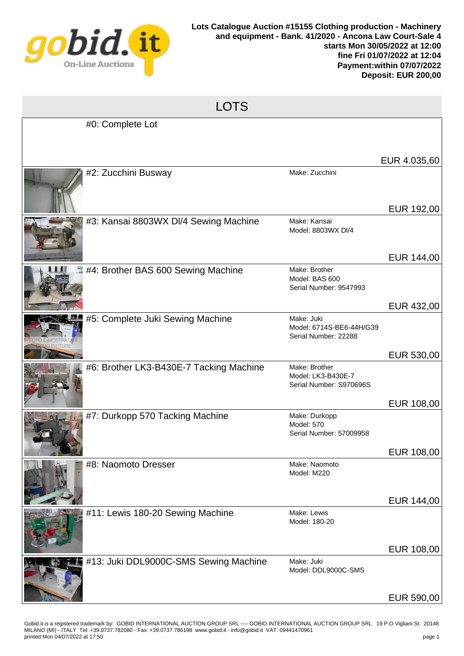

| <b>LOTS</b> |                                         |                                                                |                          |  |  |
|-------------|-----------------------------------------|----------------------------------------------------------------|--------------------------|--|--|
|             | #0: Complete Lot                        |                                                                |                          |  |  |
|             |                                         |                                                                | EUR 4.035,60             |  |  |
|             | #2: Zucchini Busway                     | Make: Zucchini                                                 | EUR 192,00               |  |  |
|             | #3: Kansai 8803WX DI/4 Sewing Machine   | Make: Kansai<br>Model: 8803WX DI/4                             | EUR 144,00               |  |  |
|             | #4: Brother BAS 600 Sewing Machine      | Make: Brother<br>Model: BAS 600<br>Serial Number: 9547993      |                          |  |  |
|             | #5: Complete Juki Sewing Machine        | Make: Juki<br>Model: 6714S-BE6-44H/G39<br>Serial Number: 22288 | EUR 432,00<br>EUR 530,00 |  |  |
|             | #6: Brother LK3-B430E-7 Tacking Machine | Make: Brother<br>Model: LK3-B430E-7<br>Serial Number: S970696S | EUR 108,00               |  |  |
|             | #7: Durkopp 570 Tacking Machine         | Make: Durkopp<br><b>Model: 570</b><br>Serial Number: 57009958  |                          |  |  |
|             | #8: Naomoto Dresser                     | Make: Naomoto<br>Model: M220                                   | EUR 108,00<br>EUR 144,00 |  |  |
|             | #11: Lewis 180-20 Sewing Machine        | Make: Lewis<br>Model: 180-20                                   | EUR 108,00               |  |  |
|             | #13: Juki DDL9000C-SMS Sewing Machine   | Make: Juki<br>Model: DDL9000C-SMS                              | EUR 590,00               |  |  |